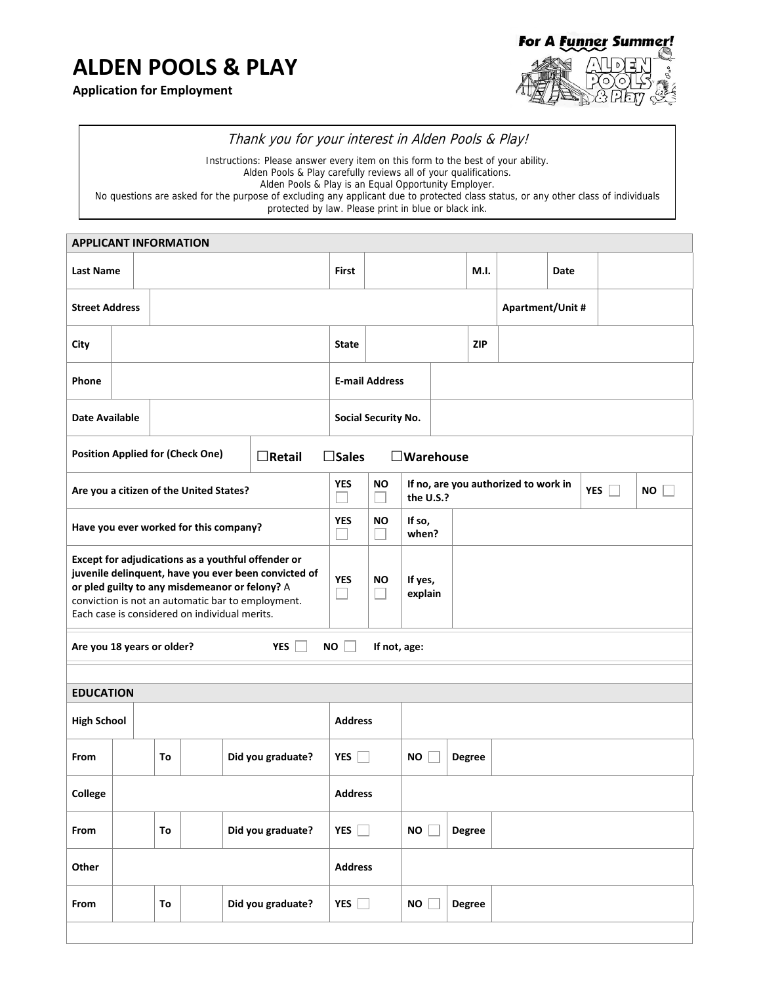## **ALDEN POOLS & PLAY**

**Application for Employment**



## Thank you for your interest in Alden Pools & Play!

Instructions: Please answer every item on this form to the best of your ability. Alden Pools & Play carefully reviews all of your qualifications. Alden Pools & Play is an Equal Opportunity Employer. No questions are asked for the purpose of excluding any applicant due to protected class status, or any other class of individuals protected by law. Please print in blue or black ink.

| <b>APPLICANT INFORMATION</b>                                                                                                                                                                                                                                       |                         |    |                                         |                                 |                     |                       |                            |                 |                                                                              |                  |      |  |  |  |  |
|--------------------------------------------------------------------------------------------------------------------------------------------------------------------------------------------------------------------------------------------------------------------|-------------------------|----|-----------------------------------------|---------------------------------|---------------------|-----------------------|----------------------------|-----------------|------------------------------------------------------------------------------|------------------|------|--|--|--|--|
| <b>Last Name</b>                                                                                                                                                                                                                                                   |                         |    |                                         |                                 |                     | <b>First</b>          |                            |                 |                                                                              | M.I.             | Date |  |  |  |  |
| <b>Street Address</b>                                                                                                                                                                                                                                              |                         |    |                                         |                                 |                     |                       |                            |                 |                                                                              | Apartment/Unit # |      |  |  |  |  |
| City                                                                                                                                                                                                                                                               |                         |    |                                         |                                 | <b>ZIP</b><br>State |                       |                            |                 |                                                                              |                  |      |  |  |  |  |
| Phone                                                                                                                                                                                                                                                              |                         |    |                                         |                                 |                     | <b>E-mail Address</b> |                            |                 |                                                                              |                  |      |  |  |  |  |
| <b>Date Available</b>                                                                                                                                                                                                                                              |                         |    |                                         | Social Security No.             |                     |                       |                            |                 |                                                                              |                  |      |  |  |  |  |
| <b>Position Applied for (Check One)</b><br>$\Box$ Retail                                                                                                                                                                                                           |                         |    |                                         |                                 |                     | $\square$ Sales       |                            |                 | $\square$ Warehouse                                                          |                  |      |  |  |  |  |
|                                                                                                                                                                                                                                                                    |                         |    | Are you a citizen of the United States? |                                 |                     | <b>YES</b>            | ΝO                         |                 | If no, are you authorized to work in<br><b>YES</b><br><b>NO</b><br>the U.S.? |                  |      |  |  |  |  |
|                                                                                                                                                                                                                                                                    |                         |    | Have you ever worked for this company?  |                                 |                     | <b>YES</b>            | <b>NO</b>                  | If so,<br>when? |                                                                              |                  |      |  |  |  |  |
| Except for adjudications as a youthful offender or<br>juvenile delinquent, have you ever been convicted of<br>or pled guilty to any misdemeanor or felony? A<br>conviction is not an automatic bar to employment.<br>Each case is considered on individual merits. |                         |    |                                         |                                 | <b>YES</b>          | ΝO                    | If yes,<br>explain         |                 |                                                                              |                  |      |  |  |  |  |
| <b>YES</b><br>NO<br>Are you 18 years or older?                                                                                                                                                                                                                     |                         |    |                                         |                                 |                     |                       | If not, age:               |                 |                                                                              |                  |      |  |  |  |  |
|                                                                                                                                                                                                                                                                    |                         |    |                                         |                                 |                     |                       |                            |                 |                                                                              |                  |      |  |  |  |  |
| <b>EDUCATION</b>                                                                                                                                                                                                                                                   |                         |    |                                         |                                 |                     |                       |                            |                 |                                                                              |                  |      |  |  |  |  |
| <b>High School</b>                                                                                                                                                                                                                                                 |                         |    |                                         |                                 | <b>Address</b>      |                       |                            |                 |                                                                              |                  |      |  |  |  |  |
| From                                                                                                                                                                                                                                                               | To<br>Did you graduate? |    |                                         |                                 |                     | <b>YES</b>            | <b>NO</b><br><b>Degree</b> |                 |                                                                              |                  |      |  |  |  |  |
| College                                                                                                                                                                                                                                                            |                         |    |                                         |                                 |                     |                       | <b>Address</b>             |                 |                                                                              |                  |      |  |  |  |  |
| From                                                                                                                                                                                                                                                               |                         | To |                                         | YES $\Box$<br>Did you graduate? |                     |                       |                            |                 | NO<br><b>Degree</b>                                                          |                  |      |  |  |  |  |
| Other                                                                                                                                                                                                                                                              |                         |    |                                         |                                 |                     | <b>Address</b>        |                            |                 |                                                                              |                  |      |  |  |  |  |
| To<br>Did you graduate?<br>From                                                                                                                                                                                                                                    |                         |    |                                         |                                 | YES $\Box$          |                       | <b>NO</b>                  | <b>Degree</b>   |                                                                              |                  |      |  |  |  |  |
|                                                                                                                                                                                                                                                                    |                         |    |                                         |                                 |                     |                       |                            |                 |                                                                              |                  |      |  |  |  |  |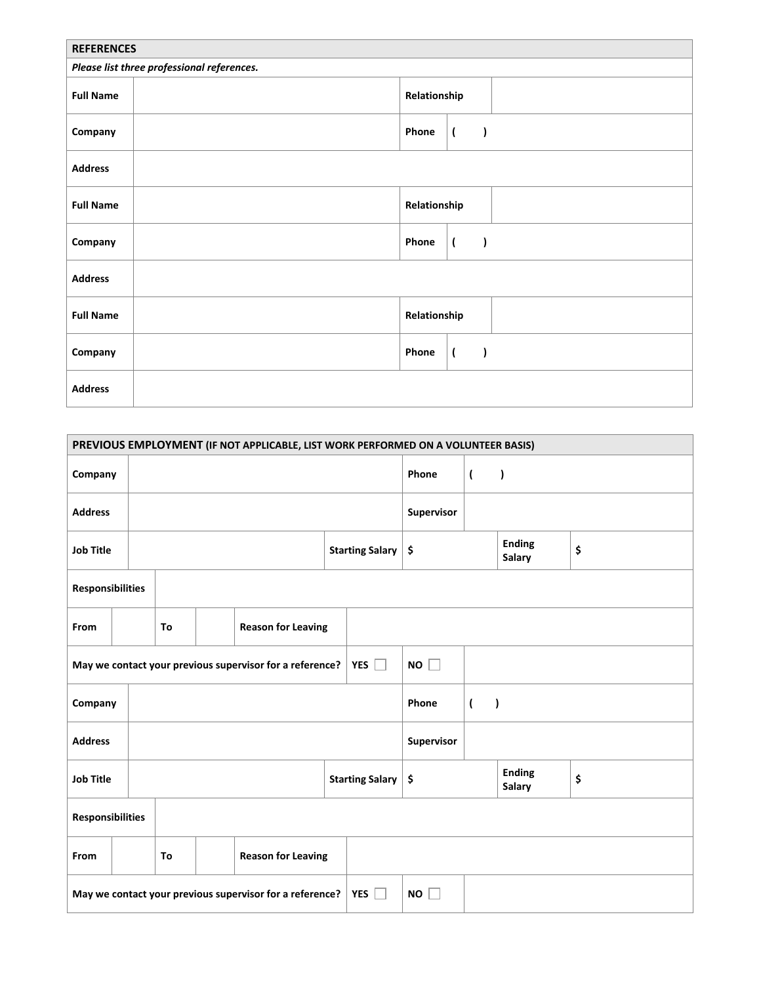| <b>REFERENCES</b>                          |                                                    |  |  |  |  |  |  |  |  |  |  |
|--------------------------------------------|----------------------------------------------------|--|--|--|--|--|--|--|--|--|--|
| Please list three professional references. |                                                    |  |  |  |  |  |  |  |  |  |  |
| <b>Full Name</b>                           | Relationship                                       |  |  |  |  |  |  |  |  |  |  |
| Company                                    | Phone<br>$\overline{\mathcal{L}}$<br>$\lambda$     |  |  |  |  |  |  |  |  |  |  |
| <b>Address</b>                             |                                                    |  |  |  |  |  |  |  |  |  |  |
| <b>Full Name</b>                           | Relationship                                       |  |  |  |  |  |  |  |  |  |  |
| Company                                    | $\lambda$<br>Phone<br>$\overline{\mathcal{L}}$     |  |  |  |  |  |  |  |  |  |  |
| <b>Address</b>                             |                                                    |  |  |  |  |  |  |  |  |  |  |
| <b>Full Name</b>                           | Relationship                                       |  |  |  |  |  |  |  |  |  |  |
| Company                                    | Phone<br>$\mathcal{E}$<br>$\overline{\mathcal{L}}$ |  |  |  |  |  |  |  |  |  |  |
| <b>Address</b>                             |                                                    |  |  |  |  |  |  |  |  |  |  |

| PREVIOUS EMPLOYMENT (IF NOT APPLICABLE, LIST WORK PERFORMED ON A VOLUNTEER BASIS)         |  |                                 |                                 |  |                                                          |                 |            |            |                             |                                |    |  |  |
|-------------------------------------------------------------------------------------------|--|---------------------------------|---------------------------------|--|----------------------------------------------------------|-----------------|------------|------------|-----------------------------|--------------------------------|----|--|--|
| Company                                                                                   |  |                                 |                                 |  |                                                          |                 |            | Phone      | $\overline{ }$<br>$\lambda$ |                                |    |  |  |
| <b>Address</b>                                                                            |  |                                 |                                 |  |                                                          |                 |            | Supervisor |                             |                                |    |  |  |
| <b>Job Title</b>                                                                          |  |                                 |                                 |  |                                                          | Starting Salary |            | \$         |                             | <b>Ending</b><br><b>Salary</b> | \$ |  |  |
| <b>Responsibilities</b>                                                                   |  |                                 |                                 |  |                                                          |                 |            |            |                             |                                |    |  |  |
| From                                                                                      |  |                                 | <b>Reason for Leaving</b><br>To |  |                                                          |                 |            |            |                             |                                |    |  |  |
|                                                                                           |  |                                 |                                 |  | May we contact your previous supervisor for a reference? |                 | YES $\Box$ | NO         |                             |                                |    |  |  |
| Company                                                                                   |  |                                 |                                 |  |                                                          |                 |            | Phone      | $\lambda$<br>$\overline{ }$ |                                |    |  |  |
| <b>Address</b>                                                                            |  |                                 |                                 |  |                                                          |                 |            | Supervisor |                             |                                |    |  |  |
| <b>Job Title</b>                                                                          |  |                                 |                                 |  |                                                          | Starting Salary |            | \$         |                             | <b>Ending</b><br><b>Salary</b> | \$ |  |  |
| <b>Responsibilities</b>                                                                   |  |                                 |                                 |  |                                                          |                 |            |            |                             |                                |    |  |  |
| From                                                                                      |  | <b>Reason for Leaving</b><br>To |                                 |  |                                                          |                 |            |            |                             |                                |    |  |  |
| May we contact your previous supervisor for a reference?<br>YES $\Box$<br><b>NO</b><br>L. |  |                                 |                                 |  |                                                          |                 |            |            |                             |                                |    |  |  |